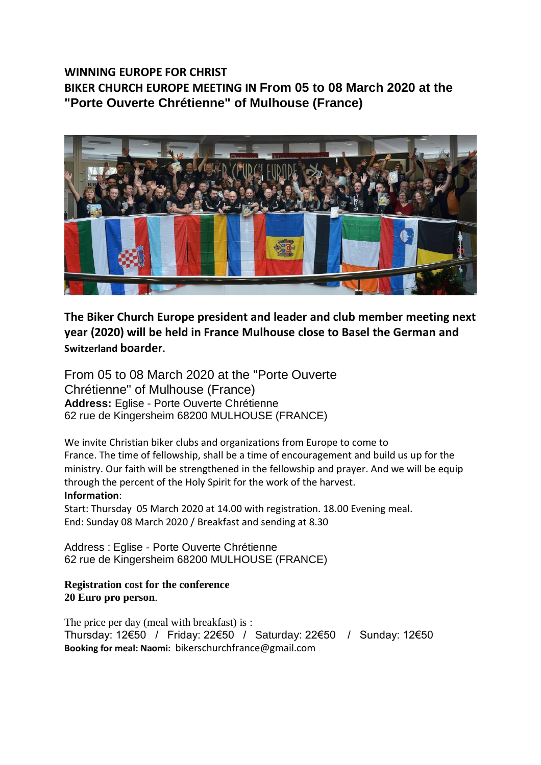## **WINNING EUROPE FOR CHRIST BIKER CHURCH EUROPE MEETING IN From 05 to 08 March 2020 at the "Porte Ouverte Chrétienne" of Mulhouse (France)**



**The Biker Church Europe president and leader and club member meeting next year (2020) will be held in France Mulhouse close to Basel the German and Switzerland boarder.**

From 05 to 08 March 2020 at the "Porte Ouverte Chrétienne" of Mulhouse (France) **Address:** Eglise - Porte Ouverte Chrétienne 62 rue de Kingersheim 68200 MULHOUSE (FRANCE)

We invite Christian biker clubs and organizations from Europe to come to France. The time of fellowship, shall be a time of encouragement and build us up for the ministry. Our faith will be strengthened in the fellowship and prayer. And we will be equip through the percent of the Holy Spirit for the work of the harvest. **Information**:

Start: Thursday 05 March 2020 at 14.00 with registration. 18.00 Evening meal. End: Sunday 08 March 2020 / Breakfast and sending at 8.30

Address : Eglise - Porte Ouverte Chrétienne 62 rue de Kingersheim 68200 MULHOUSE (FRANCE)

## **Registration cost for the conference 20 Euro pro person**.

The price per day (meal with breakfast) is : Thursday: 12€50 / Friday: 22€50 / Saturday: 22€50 / Sunday: 12€50 **Booking for meal: Naomi:** bikerschurchfrance@gmail.com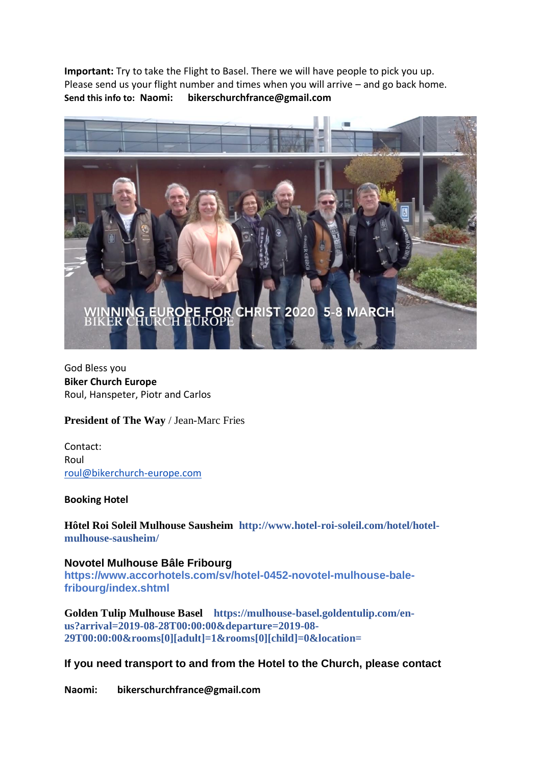**Important:** Try to take the Flight to Basel. There we will have people to pick you up. Please send us your flight number and times when you will arrive – and go back home. **Send this info to: Naomi: bikerschurchfrance@gmail.com**



God Bless you **Biker Church Europe** Roul, Hanspeter, Piotr and Carlos

**President of The Way** / Jean-Marc Fries

Contact: Roul [roul@bikerchurch-europe.com](mailto:roul@bikerchurch-europe.com)

## **Booking Hotel**

**Hôtel Roi Soleil Mulhouse Sausheim http://www.hotel-roi-soleil.com/hotel/hotelmulhouse-sausheim/**

**Novotel Mulhouse Bâle Fribourg https://www.accorhotels.com/sv/hotel-0452-novotel-mulhouse-balefribourg/index.shtml**

**Golden Tulip Mulhouse Basel https://mulhouse-basel.goldentulip.com/enus?arrival=2019-08-28T00:00:00&departure=2019-08- 29T00:00:00&rooms[0][adult]=1&rooms[0][child]=0&location=**

## **If you need transport to and from the Hotel to the Church, please contact**

**Naomi: bikerschurchfrance@gmail.com**